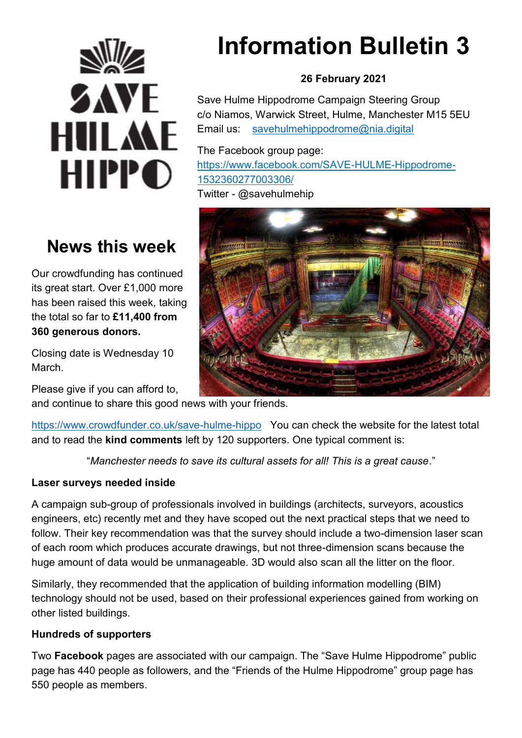

# **News this week**

Our crowdfunding has continued its great start. Over £1,000 more has been raised this week, taking the total so far to **£11,400 from 360 generous donors.**

Closing date is Wednesday 10 March.

Please give if you can afford to,

and continue to share this good news with your friends.

<https://www.crowdfunder.co.uk/save-hulme-hippo> You can check the website for the latest total and to read the **kind comments** left by 120 supporters. One typical comment is:

"*Manchester needs to save its cultural assets for all! This is a great cause*."

## **Laser surveys needed inside**

A campaign sub-group of professionals involved in buildings (architects, surveyors, acoustics engineers, etc) recently met and they have scoped out the next practical steps that we need to follow. Their key recommendation was that the survey should include a two-dimension laser scan of each room which produces accurate drawings, but not three-dimension scans because the huge amount of data would be unmanageable. 3D would also scan all the litter on the floor.

Similarly, they recommended that the application of building information modelling (BIM) technology should not be used, based on their professional experiences gained from working on other listed buildings.

#### **Hundreds of supporters**

Two **Facebook** pages are associated with our campaign. The "Save Hulme Hippodrome" public page has 440 people as followers, and the "Friends of the Hulme Hippodrome" group page has 550 people as members.

# **Information Bulletin 3**

# **26 February 2021**

Save Hulme Hippodrome Campaign Steering Group c/o Niamos, Warwick Street, Hulme, Manchester M15 5EU Email us: [savehulmehippodrome@nia.digital](mailto:savehulmehippodrome@nia.digital)

The Facebook group page: [https://www.facebook.com/SAVE-HULME-Hippodrome-](https://www.facebook.com/SAVE-HULME-Hippodrome-1532360277003306/)[1532360277003306/](https://www.facebook.com/SAVE-HULME-Hippodrome-1532360277003306/) 

Twitter - @savehulmehip